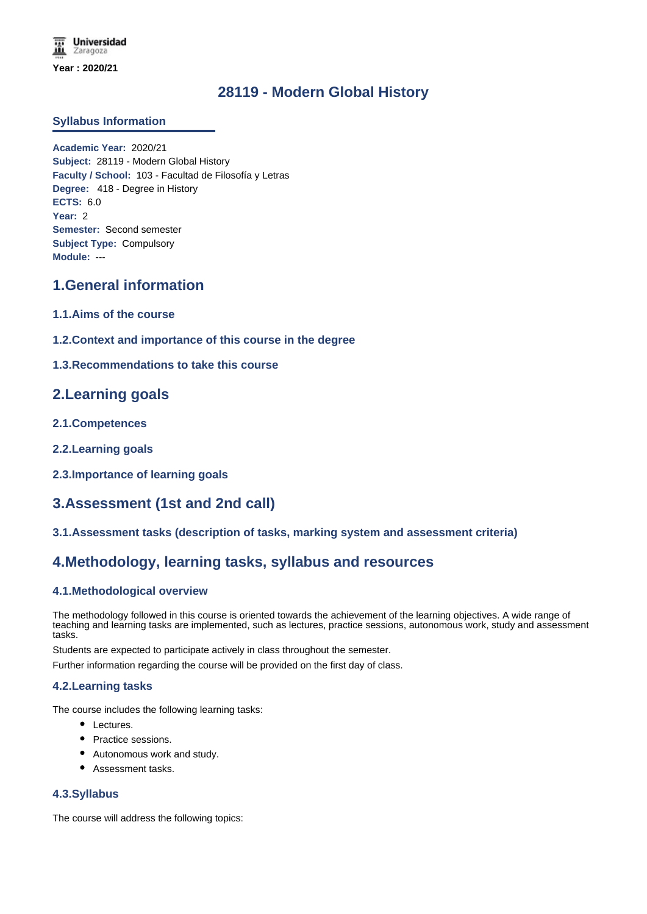**Universidad** Zaragoza **Year : 2020/21**

# **28119 - Modern Global History**

### **Syllabus Information**

**Academic Year:** 2020/21 **Subject:** 28119 - Modern Global History **Faculty / School:** 103 - Facultad de Filosofía y Letras **Degree:** 418 - Degree in History **ECTS:** 6.0 **Year:** 2 **Semester:** Second semester **Subject Type:** Compulsory **Module:** ---

# **1.General information**

- **1.1.Aims of the course**
- **1.2.Context and importance of this course in the degree**
- **1.3.Recommendations to take this course**

## **2.Learning goals**

- **2.1.Competences**
- **2.2.Learning goals**
- **2.3.Importance of learning goals**

## **3.Assessment (1st and 2nd call)**

**3.1.Assessment tasks (description of tasks, marking system and assessment criteria)**

## **4.Methodology, learning tasks, syllabus and resources**

### **4.1.Methodological overview**

The methodology followed in this course is oriented towards the achievement of the learning objectives. A wide range of teaching and learning tasks are implemented, such as lectures, practice sessions, autonomous work, study and assessment tasks.

Students are expected to participate actively in class throughout the semester.

Further information regarding the course will be provided on the first day of class.

#### **4.2.Learning tasks**

The course includes the following learning tasks:

- Lectures.
- Practice sessions.
- Autonomous work and study.
- Assessment tasks.

#### **4.3.Syllabus**

The course will address the following topics: